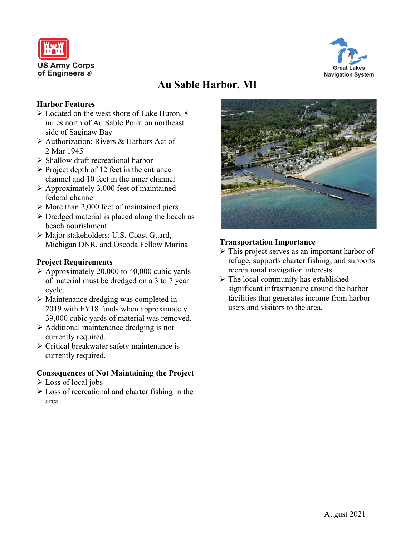



# **Au Sable Harbor, MI**

### **Harbor Features**

- Located on the west shore of Lake Huron, 8 miles north of Au Sable Point on northeast side of Saginaw Bay
- Authorization: Rivers & Harbors Act of 2 Mar 1945
- $\triangleright$  Shallow draft recreational harbor
- $\triangleright$  Project depth of 12 feet in the entrance channel and 10 feet in the inner channel
- $\triangleright$  Approximately 3,000 feet of maintained federal channel
- $\triangleright$  More than 2,000 feet of maintained piers
- $\triangleright$  Dredged material is placed along the beach as beach nourishment.
- Major stakeholders: U.S. Coast Guard, Michigan DNR, and Oscoda Fellow Marina

### **Project Requirements**

- $\triangleright$  Approximately 20,000 to 40,000 cubic yards of material must be dredged on a 3 to 7 year cycle.
- Maintenance dredging was completed in 2019 with FY18 funds when approximately 39,000 cubic yards of material was removed.
- $\triangleright$  Additional maintenance dredging is not currently required.
- $\triangleright$  Critical breakwater safety maintenance is currently required.

### **Consequences of Not Maintaining the Project**

- Loss of local jobs
- $\triangleright$  Loss of recreational and charter fishing in the area



## **Transportation Importance**

- > This project serves as an important harbor of refuge, supports charter fishing, and supports recreational navigation interests.
- $\triangleright$  The local community has established significant infrastructure around the harbor facilities that generates income from harbor users and visitors to the area.